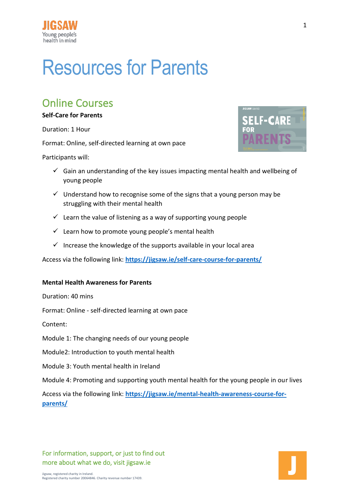

# Resources for Parents

### Online Courses

#### **Self-Care for Parents**

Duration: 1 Hour

Format: Online, self-directed learning at own pace

Participants will:



- $\checkmark$  Gain an understanding of the key issues impacting mental health and wellbeing of young people
- $\checkmark$  Understand how to recognise some of the signs that a young person may be struggling with their mental health
- $\checkmark$  Learn the value of listening as a way of supporting young people
- $\checkmark$  Learn how to promote young people's mental health
- $\checkmark$  Increase the knowledge of the supports available in your local area

Access via the following link: **<https://jigsaw.ie/self-care-course-for-parents/>**

#### **Mental Health Awareness for Parents**

Duration: 40 mins

Format: Online - self-directed learning at own pace

Content:

Module 1: The changing needs of our young people

Module2: Introduction to youth mental health

Module 3: Youth mental health in Ireland

Module 4: Promoting and supporting youth mental health for the young people in our lives

Access via the following link: **[https://jigsaw.ie/mental-health-awareness-course-for](https://jigsaw.ie/mental-health-awareness-course-for-parents/)[parents/](https://jigsaw.ie/mental-health-awareness-course-for-parents/)**

For information, support, or just to find out more about what we do, visit jigsaw.ie

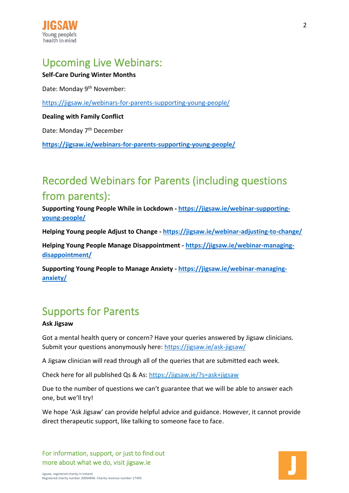

## Upcoming Live Webinars:

### **Self-Care During Winter Months**

Date: Monday 9<sup>th</sup> November:

<https://jigsaw.ie/webinars-for-parents-supporting-young-people/>

**Dealing with Family Conflict**

Date: Monday 7<sup>th</sup> December

**<https://jigsaw.ie/webinars-for-parents-supporting-young-people/>**

## Recorded Webinars for Parents (including questions from parents):

**Supporting Young People While in Lockdown - [https://jigsaw.ie/webinar-supporting](https://jigsaw.ie/webinar-supporting-young-people/)[young-people/](https://jigsaw.ie/webinar-supporting-young-people/)**

**Helping Young people Adjust to Change - <https://jigsaw.ie/webinar-adjusting-to-change/>**

**Helping Young People Manage Disappointment - [https://jigsaw.ie/webinar-managing](https://jigsaw.ie/webinar-managing-disappointment/)[disappointment/](https://jigsaw.ie/webinar-managing-disappointment/)**

**Supporting Young People to Manage Anxiety - [https://jigsaw.ie/webinar-managing](https://jigsaw.ie/webinar-managing-anxiety/)[anxiety/](https://jigsaw.ie/webinar-managing-anxiety/)**

### Supports for Parents

#### **Ask Jigsaw**

Got a mental health query or concern? Have your queries answered by Jigsaw clinicians. Submit your questions anonymously here:<https://jigsaw.ie/ask-jigsaw/>

A Jigsaw clinician will read through all of the queries that are submitted each week.

Check here for all published Qs & As:<https://jigsaw.ie/?s=ask+jigsaw>

Due to the number of questions we can't guarantee that we will be able to answer each one, but we'll try!

We hope 'Ask Jigsaw' can provide helpful advice and guidance. However, it cannot provide direct therapeutic support, like talking to someone face to face.

For information, support, or just to find out more about what we do, visit jigsaw.ie

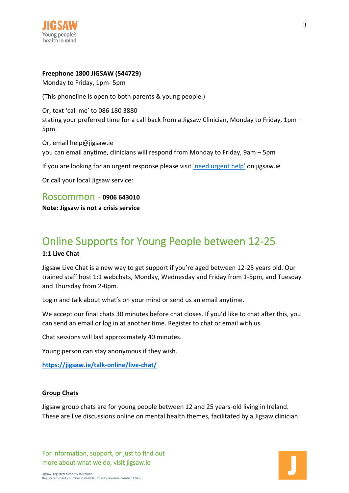

#### **Freephone 1800 JIGSAW (544729)**

Monday to Friday, 1pm- 5pm

(This phoneline is open to both parents & young people.)

Or, text 'call me' to 086 180 3880 stating your preferred time for a call back from a Jigsaw Clinician, Monday to Friday, 1pm – 5pm.

Or, email help@jigsaw.ie you can email anytime, clinicians will respond from Monday to Friday, 9am – 5pm

If you are looking for an urgent response please visit ['need urgent help'](https://jigsaw.ie/?s=ask+jigsaw) on jigsaw.ie

Or call your local Jigsaw service:

Roscommon - **0906 643010**

**Note: Jigsaw is not a crisis service**

### Online Supports for Young People between 12-25 **1:1 Live Chat**

Jigsaw Live Chat is a new way to get support if you're aged between 12-25 years old. Our trained staff host 1:1 webchats, Monday, Wednesday and Friday from 1-5pm, and Tuesday and Thursday from 2-8pm.

Login and talk about what's on your mind or send us an email anytime.

We accept our final chats 30 minutes before chat closes. If you'd like to chat after this, you can send an email or log in at another time. Register to chat or email with us.

Chat sessions will last approximately 40 minutes.

Young person can stay anonymous if they wish.

**<https://jigsaw.ie/talk-online/live-chat/>**

#### **Group Chats**

Jigsaw group chats are for young people between 12 and 25 years-old living in Ireland. These are live discussions online on mental health themes, facilitated by a Jigsaw clinician.

For information, support, or just to find out more about what we do, visit jigsaw.ie